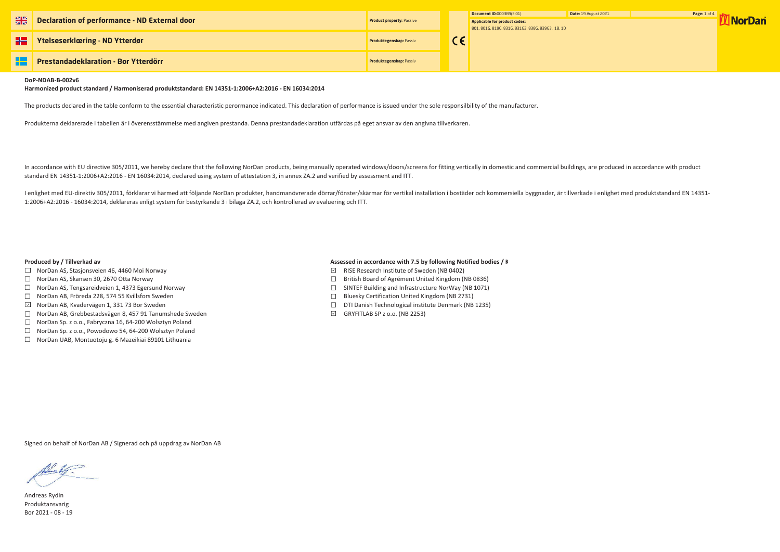

| $\frac{N}{N}$ | Declaration of performance - ND External door | <b>Product property: Passive</b> | Document ID:0003B9(3.01)<br>Applicable for product codes:<br>801, 801G, 819G, 831G, 831G2, 838G, 839G3, 1B, 1D | Date: 19 Au |
|---------------|-----------------------------------------------|----------------------------------|----------------------------------------------------------------------------------------------------------------|-------------|
|               | <b>Ytelseserklæring - ND Ytterdør</b>         | <b>Produktegenskap: Passiv</b>   |                                                                                                                |             |
| -92           | <b>Prestandadeklaration - Bor Ytterdörr</b>   | <b>Produktegenskap: Passiv</b>   |                                                                                                                |             |

## **DoP-NDAB-B-002v6**

**Harmonized product standard / Harmoniserad produktstandard: EN 14351-1:2006+A2:2016 - EN 16034:2014**

The products declared in the table conform to the essential characteristic perormance indicated. This declaration of performance is issued under the sole responsilbility of the manufacturer.

Produkterna deklarerade i tabellen är i överensstämmelse med angiven prestanda. Denna prestandadeklaration utfärdas på eget ansvar av den angivna tillverkaren.

In accordance with EU directive 305/2011, we hereby declare that the following NorDan products, being manually operated windows/doors/screens for fitting vertically in domestic and commercial buildings, are produced in acc standard EN 14351-1:2006+A2:2016 - EN 16034:2014, declared using system of attestation 3, in annex ZA.2 and verified by assessment and ITT.

I enlighet med EU-direktiv 305/2011, förklarar vi härmed att följande NorDan produkter, handmanövrerade dörrar/fönster/skärmar för vertikal installation i bostäder och kommersiella byggnader, är tillverkade i enlighet med 1:2006+A2:2016 - 16034:2014, deklareras enligt system för bestyrkande 3 i bilaga ZA.2, och kontrollerad av evaluering och ITT.

- $\Box$  NorDan AS, Stasjonsveien 46, 4460 Moi Norway
- □ NorDan AS, Skansen 30, 2670 Otta Norway
- $\Box$  NorDan AS, Tengsareidveien 1, 4373 Egersund Norway
- □ NorDan AB, Fröreda 228, 574 55 Kvillsfors Sweden
- NorDan AB, Kvadervägen 1, 331 73 Bor Sweden
- NorDan AB, Grebbestadsvägen 8, 457 91 Tanumshede Sweden
- $\Box$  NorDan Sp. z o.o., Fabryczna 16, 64-200 Wolsztyn Poland
- □ NorDan Sp. z o.o., Powodowo 54, 64-200 Wolsztyn Poland
- □ NorDan UAB, Montuotoju g. 6 Mazeikiai 89101 Lithuania

# **Produced by / Tillverkad av <b>Assessed** in accordance with 7.5 by following Notified bodies / K

- RISE Research Institute of Sweden (NB 0402)
- $\Box$  British Board of Agrément United Kingdom (NB 0836)
- $\Box$  SINTEF Building and Infrastructure NorWay (NB 1071)
- $\Box$  Bluesky Certification United Kingdom (NB 2731)
- DTI Danish Technological institute Denmark (NB 1235)
- $\boxdot$  GRYFITLAB SP z o.o. (NB 2253)

Andreas Rydin Produktansvarig Bor 2021 - 08 - 19

Signed on behalf of NorDan AB / Signerad och på uppdrag av NorDan AB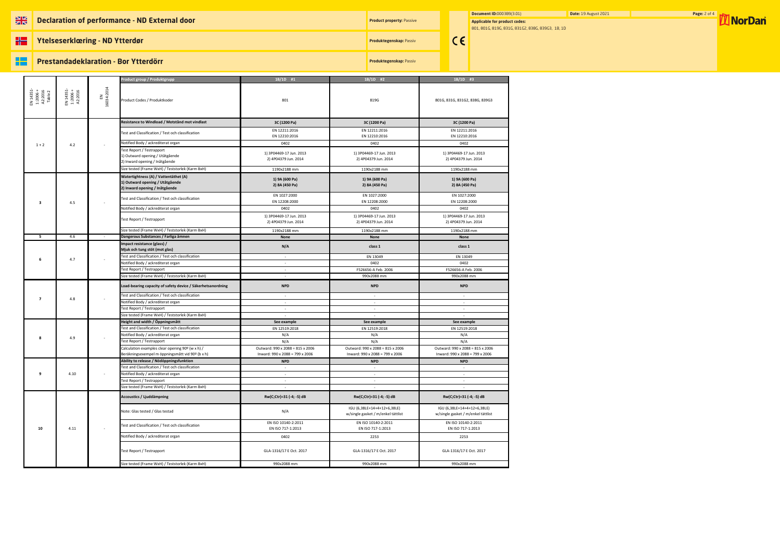## **NE Declaration of performance - ND External door**

**Product property: Passive** 

**HE Ytelseserklœring - ND Ytterdør**

### æ **Prestandadeklaration - Bor Ytterdörr**

**Document ID:**0003B9(3.01) **Date:** 19 August 2021 **Page:** 2 of 4 **Page: 2 of 4 <b>Page: 2 of 4 Page: 2 of 4 Page: 2 of 4 Page: 2 of 4 Page: 2 of 4 Page: 2 of 4 Page: 2 of 4 Page: 2 of 4 Page: 2 of 4 Page: 2 Applicable for product codes:** 801, 801G, 819G, 831G, 831G2, 838G, 839G3, 1B, 1D

**Produktegenskap:** Passiv

 $\epsilon$ 

**Produktegenskap:** Passiv

|                                             |                                  |                 | Product group / Produktgrupp                                                                               | $1B/1D$ #1                                                          | $1B/1D$ #2                                                          | $1B/1D$ #3                                                          |
|---------------------------------------------|----------------------------------|-----------------|------------------------------------------------------------------------------------------------------------|---------------------------------------------------------------------|---------------------------------------------------------------------|---------------------------------------------------------------------|
| EN 14351-<br>1:2006 +<br>A2:2016<br>Table 2 | EN 14351-<br>1:2006 +<br>A2:2016 | 16034:2014<br>룹 | Product Codes / Produktkoder                                                                               | 801                                                                 | 819G                                                                | 801G, 831G, 831G2, 838G, 839G3                                      |
|                                             |                                  |                 | Resistance to Windload / Motstånd mot vindlast                                                             | 3C (1200 Pa)                                                        | 3C (1200 Pa)                                                        | 3C (1200 Pa)                                                        |
|                                             |                                  |                 | Fest and Classification / Test och classification                                                          | EN 12211:2016<br>EN 12210:2016                                      | EN 12211:2016<br>EN 12210:2016                                      | EN 12211:2016<br>EN 12210:2016                                      |
| $1 + 2$                                     | 4.2                              |                 | Notified Body / ackrediterat organ                                                                         | 0402                                                                | 0402                                                                | 0402                                                                |
|                                             |                                  |                 | Test Report / Testrapport<br>1) Outward opening / Utåtgående<br>2) Inward opening / Inåtgående             | 1) 3P04469-17 Jun. 2013<br>2) 4P04379 Jun. 2014                     | 1) 3P04469-17 Jun. 2013<br>2) 4P04379 Jun. 2014                     | 1) 3P04469-17 Jun. 2013<br>2) 4P04379 Jun. 2014                     |
|                                             |                                  |                 | Size tested (Frame WxH) / Teststorlek (Karm BxH)                                                           | 1190x2188 mm                                                        | 1190x2188 mm                                                        | 1190x2188 mm                                                        |
|                                             |                                  |                 | Watertightness (A) / Vattentäthet (A)<br>1) Outward opening / Utåtgående<br>2) Inward opening / Inåtgående | 1) 9A (600 Pa)<br>2) 8A (450 Pa)                                    | 1) 9A (600 Pa)<br>2) 8A (450 Pa)                                    | 1) 9A (600 Pa)<br>2) 8A (450 Pa)                                    |
| 3                                           | 4.5                              |                 | Test and Classification / Test och classification                                                          | EN 1027:2000<br>EN 12208:2000                                       | EN 1027:2000<br>EN 12208:2000                                       | EN 1027:2000<br>EN 12208:2000                                       |
|                                             |                                  |                 | Notified Body / ackrediterat organ                                                                         | 0402                                                                | 0402                                                                | 0402                                                                |
|                                             |                                  |                 | Test Report / Testrapport                                                                                  | 1) 3P04469-17 Jun. 2013<br>2) 4P04379 Jun. 2014                     | 1) 3P04469-17 Jun. 2013<br>2) 4P04379 Jun. 2014                     | 1) 3P04469-17 Jun. 2013<br>2) 4P04379 Jun. 2014                     |
|                                             |                                  |                 | Size tested (Frame WxH) / Teststorlek (Karm BxH)                                                           | 1190x2188 mm                                                        | 1190x2188 mm                                                        | 1190x2188 mm                                                        |
| 5                                           | 4.6                              | $\sim$          | Dangerous Substances / Farliga ämnen                                                                       | None                                                                | None                                                                | None                                                                |
|                                             |                                  |                 | Impact resistance (glass) /<br>Mjuk och tung stöt (mot glas)                                               | N/A                                                                 | class 1                                                             | class 1                                                             |
| 6                                           | 4.7                              |                 | Fest and Classification / Test och classification                                                          | $\sim$                                                              | EN 13049                                                            | EN 13049                                                            |
|                                             |                                  |                 | Notified Body / ackrediterat organ                                                                         | $\overline{\phantom{a}}$                                            | 0402                                                                | 0402                                                                |
|                                             |                                  |                 | Test Report / Testrapport<br>Size tested (Frame WxH) / Teststorlek (Karm BxH)                              | $\sim$                                                              | F526656-A Feb. 2006                                                 | F526656-A Feb. 2006                                                 |
|                                             | 4.8                              |                 | Load-bearing capacity of safety device / Säkerhetsanordning                                                | $\sim$<br><b>NPD</b>                                                | 990x2088 mm<br><b>NPD</b>                                           | 990x2088 mm<br><b>NPD</b>                                           |
| 7                                           |                                  |                 | Test and Classification / Test och classification                                                          | $\sim$                                                              | $\sim$                                                              | $\sim$                                                              |
|                                             |                                  |                 | Notified Body / ackrediterat organ<br>Fest Report / Testrapport                                            | $\overline{\phantom{a}}$<br>$\sim$                                  | $\sim$<br>$\sim$                                                    | $\sim$<br>$\sim$                                                    |
|                                             |                                  |                 | Size tested (Frame WxH) / Teststorlek (Karm BxH)                                                           |                                                                     |                                                                     |                                                                     |
|                                             |                                  |                 | Height and width / Öppningsmått                                                                            | See example                                                         | See example                                                         | See example                                                         |
|                                             |                                  |                 | Fest and Classification / Test och classification                                                          | EN 12519:2018                                                       | EN 12519:2018                                                       | EN 12519:2018                                                       |
|                                             | 4.9                              |                 | Notified Body / ackrediterat organ                                                                         | N/A                                                                 | N/A                                                                 | N/A                                                                 |
| -8                                          |                                  |                 | Test Report / Testrapport                                                                                  | N/A                                                                 | N/A                                                                 | N/A                                                                 |
|                                             |                                  |                 | Calculation examples clear opening 90º (w x h) /<br>Beräkningsexempel m öppningsmått vid 90º (b x h)       | Outward: 990 x 2088 = 815 x 2006<br>Inward: 990 x 2088 = 799 x 2006 | Outward: 990 x 2088 = 815 x 2006<br>Inward: 990 x 2088 = 799 x 2006 | Outward: 990 x 2088 = 815 x 2006<br>Inward: 990 x 2088 = 799 x 2006 |
|                                             |                                  |                 | Ability to release / Nödöppningsfunktion                                                                   | <b>NPD</b>                                                          | <b>NPD</b>                                                          | <b>NPD</b>                                                          |
|                                             | 4.10                             |                 | Fest and Classification / Test och classification                                                          | $\sim$                                                              | $\sim$                                                              | $\sim$                                                              |
| 9                                           |                                  |                 | Notified Body / ackrediterat organ                                                                         | $\blacksquare$                                                      | $\overline{\phantom{a}}$                                            | $\sim$                                                              |
|                                             |                                  |                 | Fest Report / Testrapport                                                                                  | $\sim$                                                              | $\sim$                                                              | $\sim$                                                              |
|                                             |                                  |                 | Size tested (Frame WxH) / Teststorlek (Karm BxH)                                                           |                                                                     |                                                                     |                                                                     |
|                                             |                                  |                 | Accoustics / Ljuddämpning                                                                                  | Rw(C;Ctr)=31 (-4; -5) dB                                            | Rw(C;Ctr)=31 (-4; -5) dB                                            | Rw(C;Ctr)=31 (-4; -5) dB                                            |
|                                             | 4.11                             |                 | Note: Glas tested / Glas testad                                                                            | N/A                                                                 | IGU (6,38LE+14+4+12+6,38LE)<br>w/single gasket / m/enkel tättlist   | IGU (6,38LE+14+4+12+6,38LE)<br>w/single gasket / m/enkel tättlist   |
| 10                                          |                                  |                 | Fest and Classification / Test och classification                                                          | EN ISO 10140-2:2011<br>EN ISO 717-1:2013                            | EN ISO 10140-2:2011<br>EN ISO 717-1:2013                            | EN ISO 10140-2:2011<br>EN ISO 717-1:2013                            |
|                                             |                                  |                 | Notified Body / ackrediterat organ                                                                         | 0402                                                                | 2253                                                                | 2253                                                                |
|                                             |                                  |                 | Test Report / Testrapport                                                                                  | GLA-1316/17 E Oct. 2017                                             | GLA-1316/17 E Oct. 2017                                             | GLA-1316/17 E Oct. 2017                                             |
|                                             |                                  |                 | Size tested (Frame WxH) / Teststorlek (Karm BxH)                                                           | 990x2088 mm                                                         | 990x2088 mm                                                         | 990x2088 mm                                                         |
|                                             |                                  |                 |                                                                                                            |                                                                     |                                                                     |                                                                     |

| ugust Zi |  |
|----------|--|
|----------|--|

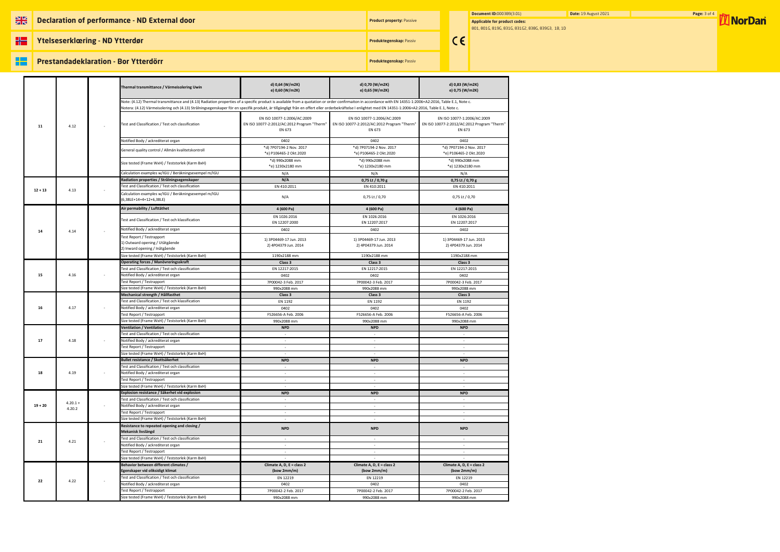## **NE Declaration of performance - ND External door**

**Product property: Passive** 

# æ **Prestandadeklaration - Bor Ytterdörr**

**HE** 

**Ytelseserklœring - ND Ytterdør**

**Document ID:**0003B9(3.01) **Date:** 19 August 2021 **Page: 3 of 4 MorDan Applicable for product codes:** 801, 801G, 819G, 831G, 831G2, 838G, 839G3, 1B, 1D

**Produktegenskap:** Passiv

**Produktegenskap:** Passiv

 $\epsilon$ 

|           |            |  | Thermal transmittance / Värmeisolering Uwin                                                                                                                                                                                                                                                                                                                                                                             | d) 0,64 (W/m2K)<br>e) 0,60 (W/m2K)                                                   | d) 0,70 (W/m2K)<br>e) 0,65 (W/m2K)                                                   | d) 0,83 (W/m2K)<br>e) 0,75 (W/m2K)                                                   |
|-----------|------------|--|-------------------------------------------------------------------------------------------------------------------------------------------------------------------------------------------------------------------------------------------------------------------------------------------------------------------------------------------------------------------------------------------------------------------------|--------------------------------------------------------------------------------------|--------------------------------------------------------------------------------------|--------------------------------------------------------------------------------------|
|           |            |  | Note: (4.12) Thermal transmittance and (4.13) Radiation properties of a specific product is available from a quotation or order confirmaiton in accordance with EN 14351-1:2006+A2:2016, Table E.1, Note c.<br>Notera: (4.12) Värmeisolering och (4.13) Strålningsegenskaper för en specifik produkt, är tillgängligt från en offert eller orderbekräftelse I enlightet med EN 14351-1:2006+A2:2016, Table E.1, Note c. |                                                                                      |                                                                                      |                                                                                      |
| 11        | 4.12       |  | Test and Classification / Test och classification                                                                                                                                                                                                                                                                                                                                                                       | EN ISO 10077-1:2006/AC:2009<br>EN ISO 10077-2:2012/AC:2012 Program "Therm"<br>EN 673 | EN ISO 10077-1:2006/AC:2009<br>EN ISO 10077-2:2012/AC:2012 Program "Therm"<br>EN 673 | EN ISO 10077-1:2006/AC:2009<br>EN ISO 10077-2:2012/AC:2012 Program "Therm"<br>EN 673 |
|           |            |  | Notified Body / ackrediterat organ                                                                                                                                                                                                                                                                                                                                                                                      | 0402                                                                                 | 0402                                                                                 | 0402                                                                                 |
|           |            |  | General quality control / Allmän kvalitetskontroll                                                                                                                                                                                                                                                                                                                                                                      | *d) 7P07194-2 Nov. 2017                                                              | *d) 7P07194-2 Nov. 2017                                                              | *d) 7P07194-2 Nov. 2017                                                              |
|           |            |  |                                                                                                                                                                                                                                                                                                                                                                                                                         | *e) P106465-2 Okt.2020                                                               | *e) P106465-2 Okt.2020                                                               | *e) P106465-2 Okt.2020                                                               |
|           |            |  | Size tested (Frame WxH) / Teststorlek (Karm BxH)                                                                                                                                                                                                                                                                                                                                                                        | *d) 990x2088 mm<br>*e) 1230x2180 mm                                                  | *d) 990x2088 mm<br>*e) 1230x2180 mm                                                  | *d) 990x2088 mm<br>*e) 1230x2180 mm                                                  |
|           |            |  | Calculation examples w/IGU / Beräkningsexempel m/IGU                                                                                                                                                                                                                                                                                                                                                                    | N/A                                                                                  | N/A                                                                                  | N/A                                                                                  |
|           |            |  | Radiation properties / Strålningsegenskaper                                                                                                                                                                                                                                                                                                                                                                             | N/A                                                                                  | 0,75 Lt / 0,70 g                                                                     | 0,75 Lt / 0,70 g                                                                     |
| $12 + 13$ | 4.13       |  | Test and Classification / Test och classification                                                                                                                                                                                                                                                                                                                                                                       | EN 410:2011                                                                          | EN 410:2011                                                                          | EN 410:2011                                                                          |
|           |            |  | Calculation examples w/IGU / Beräkningsexempel m/IGU<br>(6,38LE+14+4+12+6,38LE)                                                                                                                                                                                                                                                                                                                                         | N/A                                                                                  | 0,75 Lt / 0,70                                                                       | 0,75 Lt / 0,70                                                                       |
|           |            |  | Air permability / Lufttäthet                                                                                                                                                                                                                                                                                                                                                                                            | 4 (600 Pa)                                                                           | 4 (600 Pa)                                                                           | 4 (600 Pa)                                                                           |
|           |            |  | Test and Classification / Test och klassification                                                                                                                                                                                                                                                                                                                                                                       | EN 1026:2016                                                                         | EN 1026:2016                                                                         | EN 1026:2016                                                                         |
|           |            |  |                                                                                                                                                                                                                                                                                                                                                                                                                         | EN 12207:2000                                                                        | EN 12207:2017                                                                        | EN 12207:2017                                                                        |
| 14        | 4.14       |  | Notified Body / ackrediterat organ                                                                                                                                                                                                                                                                                                                                                                                      | 0402                                                                                 | 0402                                                                                 | 0402                                                                                 |
|           |            |  | Fest Report / Testrapport                                                                                                                                                                                                                                                                                                                                                                                               | 1) 3P04469-17 Jun. 2013                                                              | 1) 3P04469-17 Jun. 2013                                                              | 1) 3P04469-17 Jun. 2013                                                              |
|           |            |  | 1) Outward opening / Utåtgående<br>2) Inward opening / Inåtgående                                                                                                                                                                                                                                                                                                                                                       | 2) 4P04379 Jun. 2014                                                                 | 2) 4P04379 Jun. 2014                                                                 | 2) 4P04379 Jun. 2014                                                                 |
|           |            |  | Size tested (Frame WxH) / Teststorlek (Karm BxH)                                                                                                                                                                                                                                                                                                                                                                        | 1190x2188 mm                                                                         |                                                                                      | 1190x2188 mm                                                                         |
|           |            |  | Operating forces / Manövreringsskraft                                                                                                                                                                                                                                                                                                                                                                                   | Class 3                                                                              | 1190x2188 mm<br>Class 3                                                              | Class 3                                                                              |
|           |            |  | Test and Classification / Test och classification                                                                                                                                                                                                                                                                                                                                                                       | EN 12217:2015                                                                        | EN 12217:2015                                                                        | EN 12217:2015                                                                        |
| 15        | 4.16       |  | Notified Body / ackrediterat organ                                                                                                                                                                                                                                                                                                                                                                                      | 0402                                                                                 | 0402                                                                                 | 0402                                                                                 |
|           |            |  | Test Report / Testrapport                                                                                                                                                                                                                                                                                                                                                                                               | 7P00042-3 Feb. 2017                                                                  | 7P00042-3 Feb. 2017                                                                  | 7P00042-3 Feb. 2017                                                                  |
|           |            |  | Size tested (Frame WxH) / Teststorlek (Karm BxH)                                                                                                                                                                                                                                                                                                                                                                        | 990x2088 mm                                                                          | 990x2088 mm                                                                          | 990x2088 mm                                                                          |
|           |            |  | Mechanical strength / Hållfasthet                                                                                                                                                                                                                                                                                                                                                                                       | Class 3                                                                              | Class 3                                                                              | Class 3                                                                              |
|           |            |  | Test and Classification / Test och klassification                                                                                                                                                                                                                                                                                                                                                                       | EN 1192                                                                              | EN 1192                                                                              | EN 1192                                                                              |
| 16        | 4.17       |  | Notified Body / ackrediterat organ                                                                                                                                                                                                                                                                                                                                                                                      | 0402                                                                                 | 0402                                                                                 | 0402                                                                                 |
|           |            |  | Test Report / Testrapport                                                                                                                                                                                                                                                                                                                                                                                               | F526656-A Feb. 2006                                                                  | F526656-A Feb. 2006                                                                  | F526656-A Feb. 2006                                                                  |
|           |            |  | Size tested (Frame WxH) / Teststorlek (Karm BxH)<br><b>Ventilation / Ventilation</b>                                                                                                                                                                                                                                                                                                                                    | 990x2088 mm<br><b>NPD</b>                                                            | 990x2088 mm<br><b>NPD</b>                                                            | 990x2088 mm<br><b>NPD</b>                                                            |
|           | 4.18       |  | Test and Classification / Test och classification                                                                                                                                                                                                                                                                                                                                                                       | $\sim$                                                                               | $\sim$                                                                               | $\sim$                                                                               |
| 17        |            |  | Notified Body / ackrediterat organ                                                                                                                                                                                                                                                                                                                                                                                      | $\sim$                                                                               | $\sim$                                                                               | $\sim$                                                                               |
|           |            |  | Test Report / Testrapport                                                                                                                                                                                                                                                                                                                                                                                               | $\sim$                                                                               | $\sim$                                                                               | $\sim$                                                                               |
|           |            |  | Size tested (Frame WxH) / Teststorlek (Karm BxH)                                                                                                                                                                                                                                                                                                                                                                        | $\sim$                                                                               | $\sim$                                                                               | $\sim$                                                                               |
|           | 4.19       |  | Bullet resistance / Skottsäkerhet                                                                                                                                                                                                                                                                                                                                                                                       | <b>NPD</b>                                                                           | <b>NPD</b>                                                                           | <b>NPD</b>                                                                           |
|           |            |  | Test and Classification / Test och classification                                                                                                                                                                                                                                                                                                                                                                       |                                                                                      | $\overline{\phantom{a}}$                                                             |                                                                                      |
| 18        |            |  | Notified Body / ackrediterat organ                                                                                                                                                                                                                                                                                                                                                                                      | $\sim$                                                                               | $\sim$                                                                               | $\sim$                                                                               |
|           |            |  | Test Report / Testrapport                                                                                                                                                                                                                                                                                                                                                                                               | $\sim$                                                                               | $\sim$                                                                               | $\sim$                                                                               |
|           |            |  | Size tested (Frame WxH) / Teststorlek (Karm BxH)<br>Explosion resistance / Säkerhet vid explosion                                                                                                                                                                                                                                                                                                                       |                                                                                      | $\overline{\phantom{a}}$<br><b>NPD</b>                                               | <b>NPD</b>                                                                           |
|           |            |  | Test and Classification / Test och classification                                                                                                                                                                                                                                                                                                                                                                       | <b>NPD</b><br>$\sim$                                                                 | $\sim$                                                                               | $\sim$                                                                               |
| $19 + 20$ | $4.20.1 +$ |  | Notified Body / ackrediterat organ                                                                                                                                                                                                                                                                                                                                                                                      | $\overline{\phantom{a}}$                                                             | $\overline{\phantom{a}}$                                                             |                                                                                      |
|           | 4.20.2     |  | Test Report / Testrapport                                                                                                                                                                                                                                                                                                                                                                                               | $\sim$                                                                               | $\sim$                                                                               | $\sim$                                                                               |
|           |            |  | Size tested (Frame WxH) / Teststorlek (Karm BxH)                                                                                                                                                                                                                                                                                                                                                                        | $\sim$                                                                               | $\sim$                                                                               | $\sim$                                                                               |
|           |            |  | Resistance to repeated opening and closing /<br>Mekanisk livslängd                                                                                                                                                                                                                                                                                                                                                      | <b>NPD</b>                                                                           | <b>NPD</b>                                                                           | <b>NPD</b>                                                                           |
|           | 4.21       |  | Test and Classification / Test och classification                                                                                                                                                                                                                                                                                                                                                                       | $\sim$                                                                               | $\sim$                                                                               | $\sim$                                                                               |
| 21        |            |  | Notified Body / ackrediterat organ                                                                                                                                                                                                                                                                                                                                                                                      |                                                                                      | $\sim$                                                                               |                                                                                      |
|           |            |  | Test Report / Testrapport                                                                                                                                                                                                                                                                                                                                                                                               | $\sim$                                                                               | $\sim$                                                                               | $\sim$                                                                               |
|           |            |  | Size tested (Frame WxH) / Teststorlek (Karm BxH)                                                                                                                                                                                                                                                                                                                                                                        | $\omega$                                                                             |                                                                                      |                                                                                      |
|           |            |  | Behavior between different climates /<br>Egenskaper vid oliksidigt klimat                                                                                                                                                                                                                                                                                                                                               | Climate A, D, E = class 2<br>(bow $2mm/m$ )                                          | Climate A, D, E = class 2<br>(bow 2mm/m)                                             | Climate A, D, E = class 2<br>(bow 2mm/m)                                             |
|           |            |  | Test and Classification / Test och classification                                                                                                                                                                                                                                                                                                                                                                       | EN 12219                                                                             | EN 12219                                                                             | EN 12219                                                                             |
| 22        | 4.22       |  | Notified Body / ackrediterat organ                                                                                                                                                                                                                                                                                                                                                                                      | 0402                                                                                 | 0402                                                                                 | 0402                                                                                 |
|           |            |  | Test Report / Testrapport                                                                                                                                                                                                                                                                                                                                                                                               | 7P00042-2 Feb. 2017                                                                  | 7P00042-2 Feb. 2017                                                                  | 7P00042-2 Feb. 2017                                                                  |
|           |            |  | Size tested (Frame WxH) / Teststorlek (Karm BxH)                                                                                                                                                                                                                                                                                                                                                                        | 990x2088 mm                                                                          | 990x2088 mm                                                                          | 990x2088 mm                                                                          |

| ugust 20 |  |
|----------|--|
|----------|--|